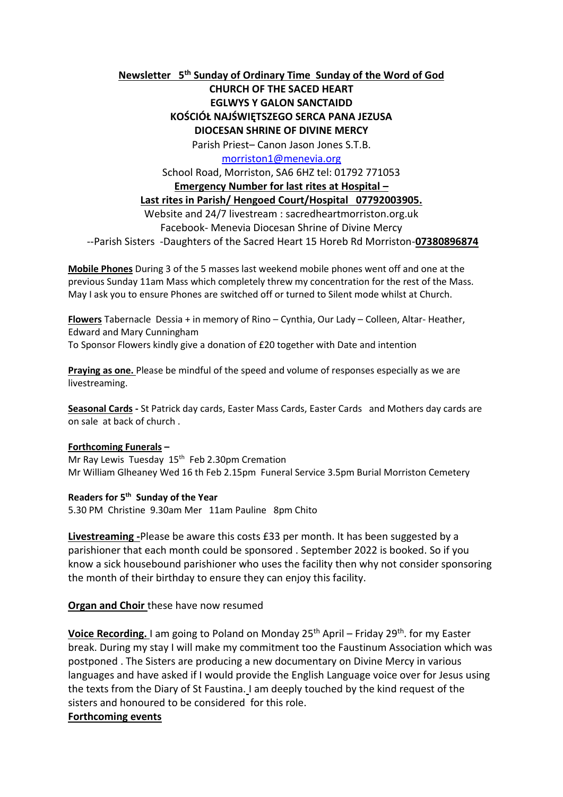## **Newsletter 5 th Sunday of Ordinary Time Sunday of the Word of God**

# **CHURCH OF THE SACED HEART EGLWYS Y GALON SANCTAIDD KOŚCIÓŁ NAJŚWIĘTSZEGO SERCA PANA JEZUSA DIOCESAN SHRINE OF DIVINE MERCY**

Parish Priest– Canon Jason Jones S.T.B.

[morriston1@menevia.org](mailto:morriston1@menevia.org)

School Road, Morriston, SA6 6HZ tel: 01792 771053

#### **Emergency Number for last rites at Hospital –**

#### **Last rites in Parish/ Hengoed Court/Hospital 07792003905.**

Website and 24/7 livestream : sacredheartmorriston.org.uk Facebook- Menevia Diocesan Shrine of Divine Mercy

--Parish Sisters -Daughters of the Sacred Heart 15 Horeb Rd Morriston-**07380896874**

**Mobile Phones** During 3 of the 5 masses last weekend mobile phones went off and one at the previous Sunday 11am Mass which completely threw my concentration for the rest of the Mass. May I ask you to ensure Phones are switched off or turned to Silent mode whilst at Church.

**Flowers** Tabernacle Dessia + in memory of Rino – Cynthia, Our Lady – Colleen, Altar- Heather, Edward and Mary Cunningham To Sponsor Flowers kindly give a donation of £20 together with Date and intention

**Praying as one.** Please be mindful of the speed and volume of responses especially as we are livestreaming.

**Seasonal Cards -** St Patrick day cards, Easter Mass Cards, Easter Cards and Mothers day cards are on sale at back of church .

#### **Forthcoming Funerals –**

Mr Ray Lewis Tuesday 15<sup>th</sup> Feb 2.30pm Cremation Mr William Glheaney Wed 16 th Feb 2.15pm Funeral Service 3.5pm Burial Morriston Cemetery

#### **Readers for 5 th Sunday of the Year**

5.30 PM Christine 9.30am Mer 11am Pauline 8pm Chito

**Livestreaming -**Please be aware this costs £33 per month. It has been suggested by a parishioner that each month could be sponsored . September 2022 is booked. So if you know a sick housebound parishioner who uses the facility then why not consider sponsoring the month of their birthday to ensure they can enjoy this facility.

### **Organ and Choir** these have now resumed

**Voice Recording.** I am going to Poland on Monday 25<sup>th</sup> April – Friday 29<sup>th</sup>. for my Easter break. During my stay I will make my commitment too the Faustinum Association which was postponed . The Sisters are producing a new documentary on Divine Mercy in various languages and have asked if I would provide the English Language voice over for Jesus using the texts from the Diary of St Faustina. I am deeply touched by the kind request of the sisters and honoured to be considered for this role.

### **Forthcoming events**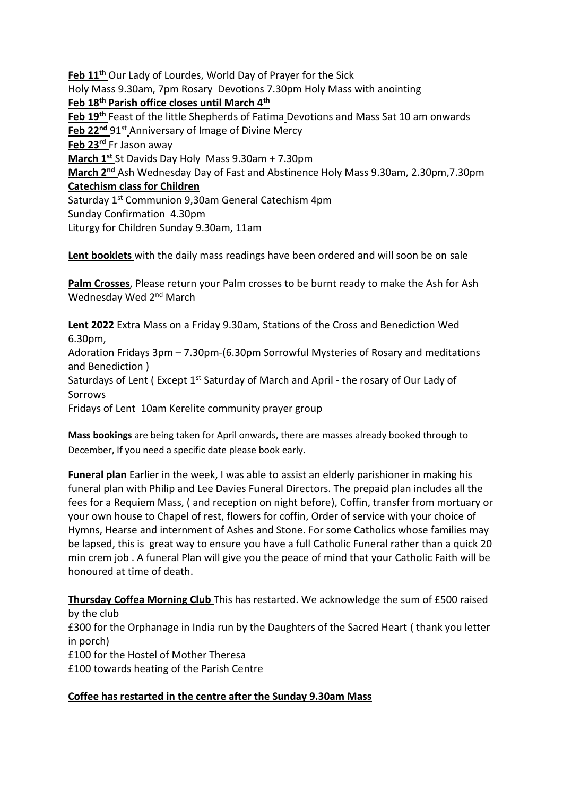**Feb 11th** Our Lady of Lourdes, World Day of Prayer for the Sick Holy Mass 9.30am, 7pm Rosary Devotions 7.30pm Holy Mass with anointing **Feb 18th Parish office closes until March 4th Feb 19th** Feast of the little Shepherds of Fatima Devotions and Mass Sat 10 am onwards Feb 22<sup>nd</sup> 91<sup>st</sup> Anniversary of Image of Divine Mercy **Feb 23rd** Fr Jason away **March 1st** St Davids Day Holy Mass 9.30am + 7.30pm **March 2nd** Ash Wednesday Day of Fast and Abstinence Holy Mass 9.30am, 2.30pm,7.30pm **Catechism class for Children**  Saturday 1<sup>st</sup> Communion 9,30am General Catechism 4pm Sunday Confirmation 4.30pm Liturgy for Children Sunday 9.30am, 11am

**Lent booklets** with the daily mass readings have been ordered and will soon be on sale

**Palm Crosses**, Please return your Palm crosses to be burnt ready to make the Ash for Ash Wednesday Wed 2<sup>nd</sup> March

**Lent 2022** Extra Mass on a Friday 9.30am, Stations of the Cross and Benediction Wed 6.30pm,

Adoration Fridays 3pm – 7.30pm-(6.30pm Sorrowful Mysteries of Rosary and meditations and Benediction )

Saturdays of Lent (Except 1st Saturday of March and April - the rosary of Our Lady of Sorrows

Fridays of Lent 10am Kerelite community prayer group

**Mass bookings** are being taken for April onwards, there are masses already booked through to December, If you need a specific date please book early.

**Funeral plan** Earlier in the week, I was able to assist an elderly parishioner in making his funeral plan with Philip and Lee Davies Funeral Directors. The prepaid plan includes all the fees for a Requiem Mass, ( and reception on night before), Coffin, transfer from mortuary or your own house to Chapel of rest, flowers for coffin, Order of service with your choice of Hymns, Hearse and internment of Ashes and Stone. For some Catholics whose families may be lapsed, this is great way to ensure you have a full Catholic Funeral rather than a quick 20 min crem job . A funeral Plan will give you the peace of mind that your Catholic Faith will be honoured at time of death.

**Thursday Coffea Morning Club** This has restarted. We acknowledge the sum of £500 raised by the club £300 for the Orphanage in India run by the Daughters of the Sacred Heart ( thank you letter in porch) £100 for the Hostel of Mother Theresa £100 towards heating of the Parish Centre

# **Coffee has restarted in the centre after the Sunday 9.30am Mass**